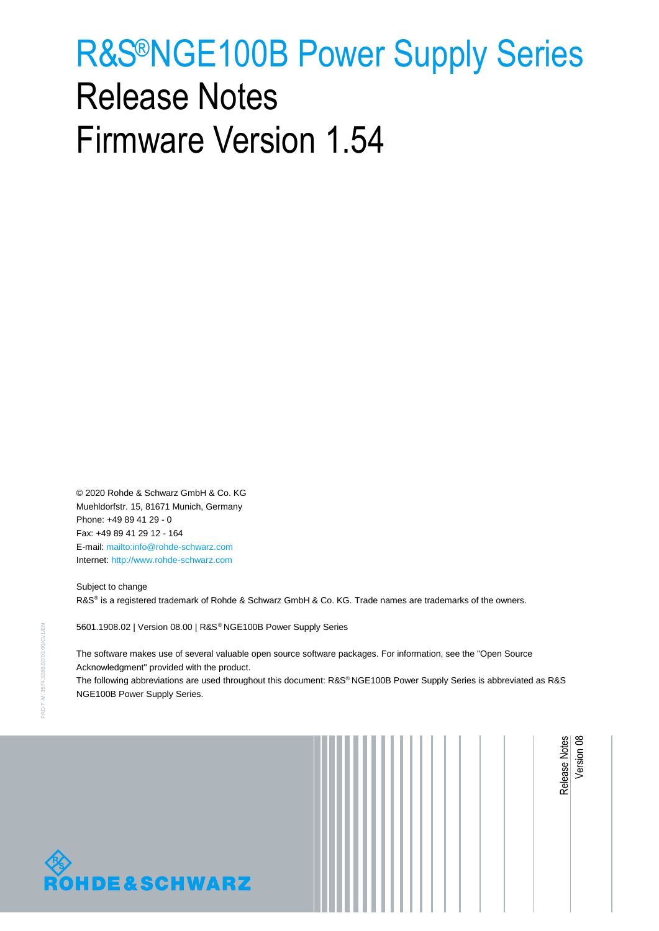# <span id="page-0-1"></span><span id="page-0-0"></span>R&S®NGE100B Power Supply Series Release Notes Firmware Version 1.54

© 2020 Rohde & Schwarz GmbH & Co. KG Muehldorfstr. 15, 81671 Munich, Germany Phone: +49 89 41 29 - 0 Fax: +49 89 41 29 12 - 164 E-mail:<mailto:info@rohde-schwarz.com> Internet[: http://www.rohde-schwarz.com](http://www.rohde-schwarz.com/)

**DE&SCHWARZ** 

Subject to change R&S® is a registered trademark of Rohde & Schwarz GmbH & Co. KG. Trade names are trademarks of the owners.

5601.1908.02 | Version 08.00 | R&S® NGE100B [Power Supply](#page-0-0) Series

The software makes use of several valuable open source software packages. For information, see the "Open Source Acknowledgment" provided with the product.

The following abbreviations are used throughout this document: R&S®NGE100B [Power Supply](#page-0-0) Series is abbreviated as R&S NGE100B [Power Supply](#page-0-0) Series.

[Release Notes](#page-0-1)

Version 08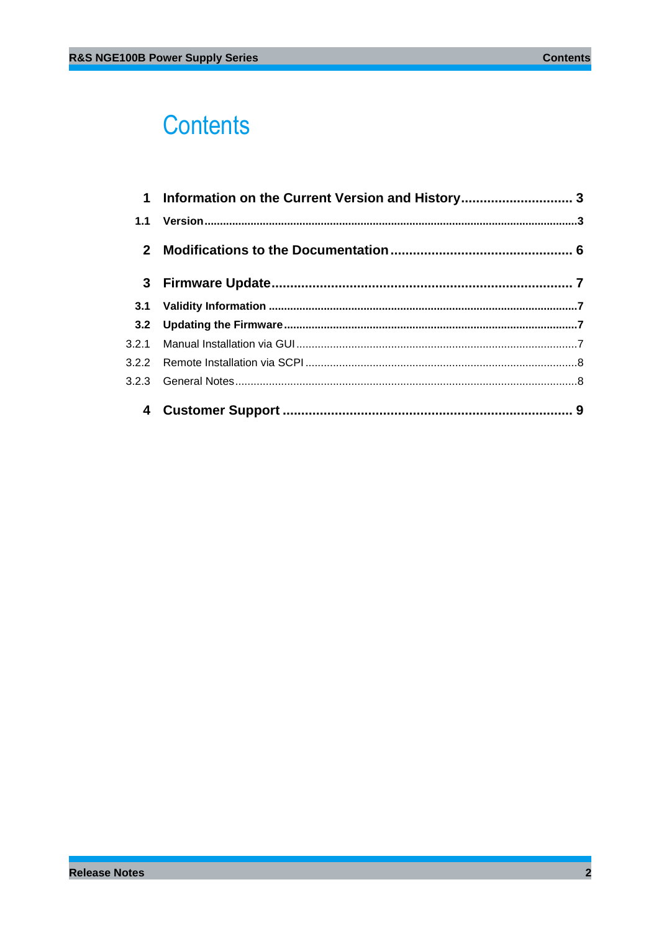# **Contents**

| $\mathbf 1$    | Information on the Current Version and History 3 |  |
|----------------|--------------------------------------------------|--|
| 1.1            |                                                  |  |
| 2 <sup>1</sup> |                                                  |  |
|                |                                                  |  |
| 3.1            |                                                  |  |
| 3.2            |                                                  |  |
|                |                                                  |  |
|                |                                                  |  |
|                |                                                  |  |
|                |                                                  |  |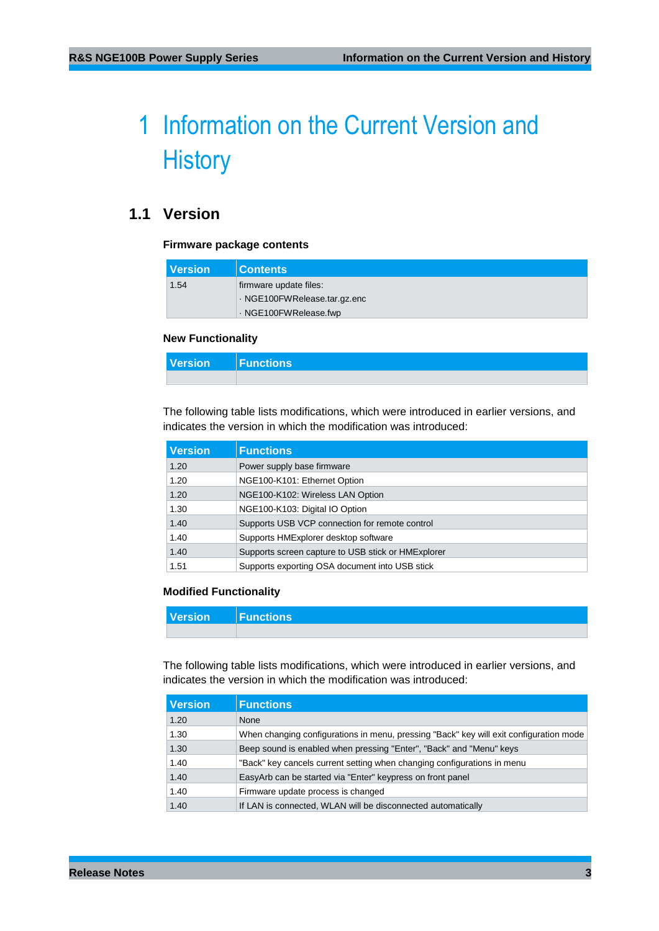# <span id="page-2-0"></span>1 Information on the Current Version and **History**

# <span id="page-2-1"></span>**1.1 Version**

#### **Firmware package contents**

| l Version | <b>Contents</b>              |
|-----------|------------------------------|
| 1.54      | firmware update files:       |
|           | · NGE100FWRelease.tar.gz.enc |
|           | NGE100FWRelease.fwp          |

#### **New Functionality**

| Version Functions |  |
|-------------------|--|
|                   |  |

The following table lists modifications, which were introduced in earlier versions, and indicates the version in which the modification was introduced:

| <b>Version</b> | <b>Functions</b>                                   |
|----------------|----------------------------------------------------|
| 1.20           | Power supply base firmware                         |
| 1.20           | NGE100-K101: Ethernet Option                       |
| 1.20           | NGE100-K102: Wireless LAN Option                   |
| 1.30           | NGE100-K103: Digital IO Option                     |
| 1.40           | Supports USB VCP connection for remote control     |
| 1.40           | Supports HMExplorer desktop software               |
| 1.40           | Supports screen capture to USB stick or HMExplorer |
| 1.51           | Supports exporting OSA document into USB stick     |

### **Modified Functionality**

| Version Functions |  |
|-------------------|--|
|                   |  |

The following table lists modifications, which were introduced in earlier versions, and indicates the version in which the modification was introduced:

| <b>Version</b> | <b>Functions</b>                                                                       |
|----------------|----------------------------------------------------------------------------------------|
| 1.20           | None                                                                                   |
| 1.30           | When changing configurations in menu, pressing "Back" key will exit configuration mode |
| 1.30           | Beep sound is enabled when pressing "Enter", "Back" and "Menu" keys                    |
| 1.40           | "Back" key cancels current setting when changing configurations in menu                |
| 1.40           | EasyArb can be started via "Enter" keypress on front panel                             |
| 1.40           | Firmware update process is changed                                                     |
| 1.40           | If LAN is connected, WLAN will be disconnected automatically                           |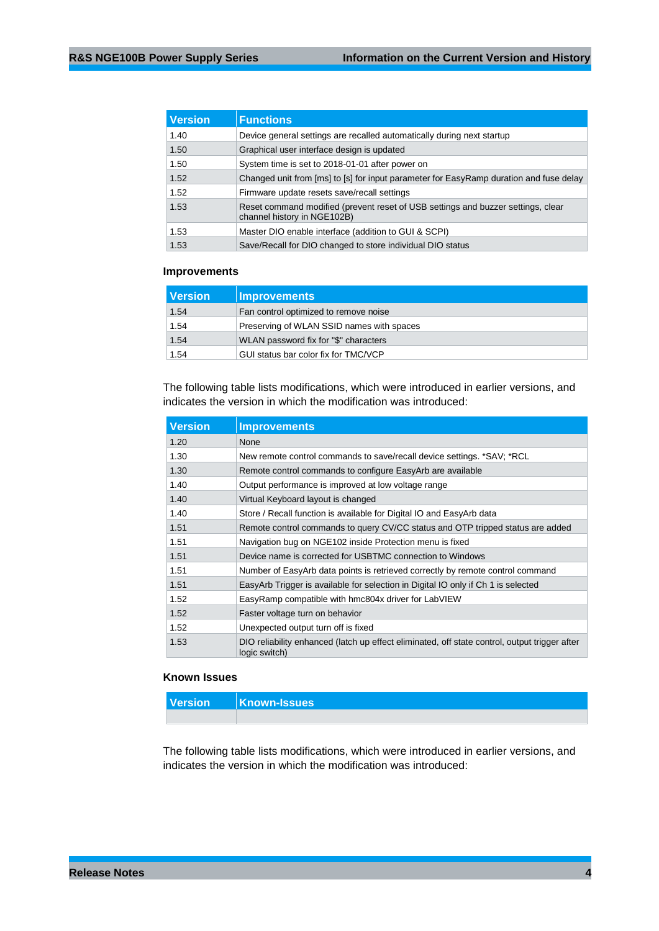| <b>Version</b> | <b>Functions</b>                                                                                                |  |
|----------------|-----------------------------------------------------------------------------------------------------------------|--|
| 1.40           | Device general settings are recalled automatically during next startup                                          |  |
| 1.50           | Graphical user interface design is updated                                                                      |  |
| 1.50           | System time is set to 2018-01-01 after power on                                                                 |  |
| 1.52           | Changed unit from [ms] to [s] for input parameter for EasyRamp duration and fuse delay                          |  |
| 1.52           | Firmware update resets save/recall settings                                                                     |  |
| 1.53           | Reset command modified (prevent reset of USB settings and buzzer settings, clear<br>channel history in NGE102B) |  |
| 1.53           | Master DIO enable interface (addition to GUI & SCPI)                                                            |  |
| 1.53           | Save/Recall for DIO changed to store individual DIO status                                                      |  |

### **Improvements**

| <b>Version</b> | <b>Improvements</b>                       |
|----------------|-------------------------------------------|
| 1.54           | Fan control optimized to remove noise     |
| 1.54           | Preserving of WLAN SSID names with spaces |
| 1.54           | WLAN password fix for "\$" characters     |
| 1.54           | GUI status bar color fix for TMC/VCP      |

The following table lists modifications, which were introduced in earlier versions, and indicates the version in which the modification was introduced:

| <b>Version</b> | <b>Improvements</b>                                                                                            |  |  |
|----------------|----------------------------------------------------------------------------------------------------------------|--|--|
| 1.20           | <b>None</b>                                                                                                    |  |  |
| 1.30           | New remote control commands to save/recall device settings. *SAV; *RCL                                         |  |  |
| 1.30           | Remote control commands to configure EasyArb are available                                                     |  |  |
| 1.40           | Output performance is improved at low voltage range                                                            |  |  |
| 1.40           | Virtual Keyboard layout is changed                                                                             |  |  |
| 1.40           | Store / Recall function is available for Digital IO and EasyArb data                                           |  |  |
| 1.51           | Remote control commands to query CV/CC status and OTP tripped status are added                                 |  |  |
| 1.51           | Navigation bug on NGE102 inside Protection menu is fixed                                                       |  |  |
| 1.51           | Device name is corrected for USBTMC connection to Windows                                                      |  |  |
| 1.51           | Number of EasyArb data points is retrieved correctly by remote control command                                 |  |  |
| 1.51           | EasyArb Trigger is available for selection in Digital IO only if Ch 1 is selected                              |  |  |
| 1.52           | EasyRamp compatible with hmc804x driver for LabVIEW                                                            |  |  |
| 1.52           | Faster voltage turn on behavior                                                                                |  |  |
| 1.52           | Unexpected output turn off is fixed                                                                            |  |  |
| 1.53           | DIO reliability enhanced (latch up effect eliminated, off state control, output trigger after<br>logic switch) |  |  |

#### **Known Issues**

| Version Known-Issues |
|----------------------|
|                      |

The following table lists modifications, which were introduced in earlier versions, and indicates the version in which the modification was introduced: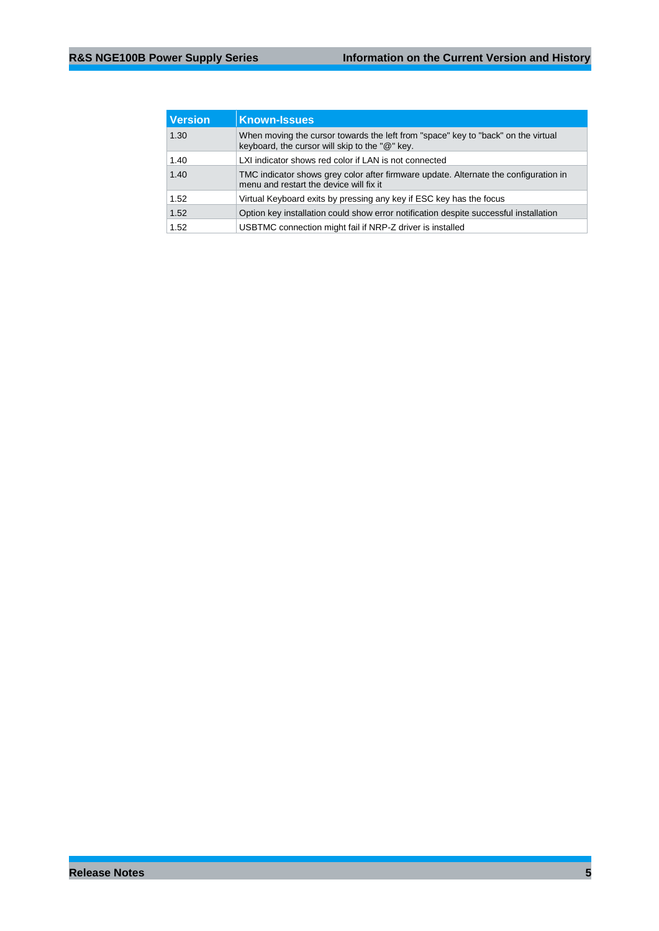| <b>Version</b> | <b>Known-Issues</b>                                                                                                                 |  |
|----------------|-------------------------------------------------------------------------------------------------------------------------------------|--|
| 1.30           | When moving the cursor towards the left from "space" key to "back" on the virtual<br>keyboard, the cursor will skip to the "@" key. |  |
| 1.40           | LXI indicator shows red color if LAN is not connected                                                                               |  |
| 1.40           | TMC indicator shows grey color after firmware update. Alternate the configuration in<br>menu and restart the device will fix it     |  |
| 1.52           | Virtual Keyboard exits by pressing any key if ESC key has the focus                                                                 |  |
| 1.52           | Option key installation could show error notification despite successful installation                                               |  |
| 1.52           | USBTMC connection might fail if NRP-Z driver is installed                                                                           |  |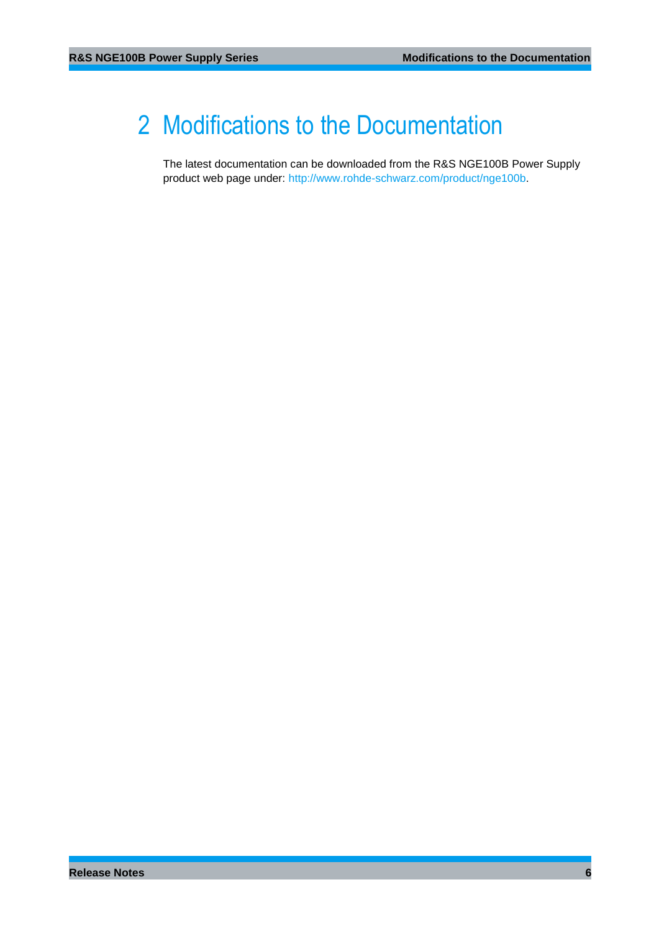# <span id="page-5-0"></span>2 Modifications to the Documentation

The latest documentation can be downloaded from the R&S NGE100B Power Supply product web page under: [http://www.rohde-schwarz.com/product/nge100b](http://www.rohde-schwarz.com/product/nge100).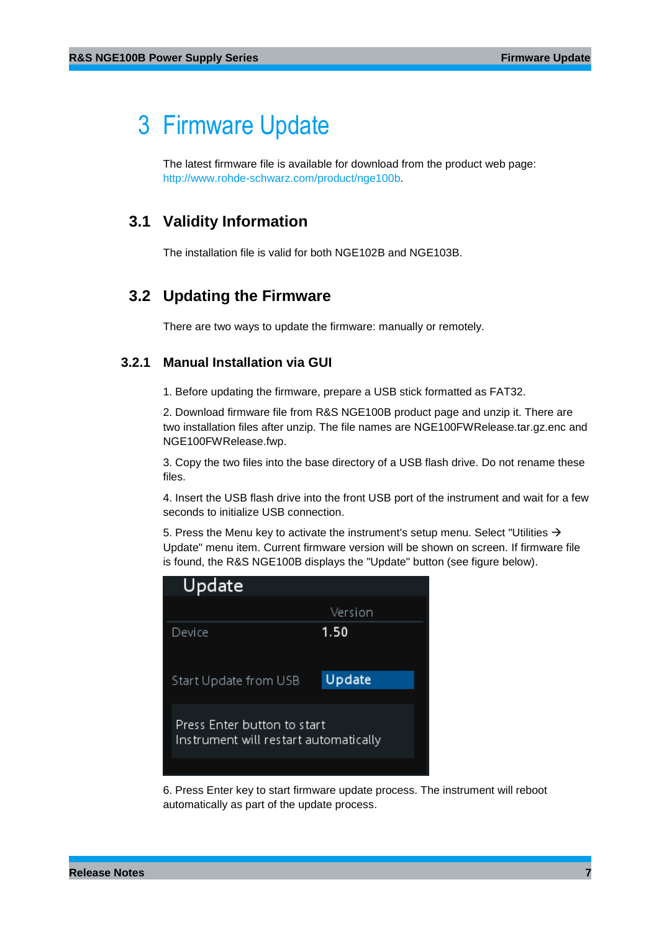# <span id="page-6-0"></span>3 Firmware Update

<span id="page-6-1"></span>The latest firmware file is available for download from the product web page: [http://www.rohde-schwarz.com/product/nge100b](http://www.rohde-schwarz.com/product/nge100).

# **3.1 Validity Information**

<span id="page-6-2"></span>The installation file is valid for both NGE102B and NGE103B.

### **3.2 Updating the Firmware**

<span id="page-6-3"></span>There are two ways to update the firmware: manually or remotely.

### **3.2.1 Manual Installation via GUI**

1. Before updating the firmware, prepare a USB stick formatted as FAT32.

2. Download firmware file from R&S NGE100B product page and unzip it. There are two installation files after unzip. The file names are NGE100FWRelease.tar.gz.enc and NGE100FWRelease.fwp.

3. Copy the two files into the base directory of a USB flash drive. Do not rename these files.

4. Insert the USB flash drive into the front USB port of the instrument and wait for a few seconds to initialize USB connection.

5. Press the Menu key to activate the instrument's setup menu. Select "Utilities  $\rightarrow$ Update" menu item. Current firmware version will be shown on screen. If firmware file is found, the R&S NGE100B displays the "Update" button (see figure below).

| Update                                                               |         |  |
|----------------------------------------------------------------------|---------|--|
|                                                                      | Version |  |
| Device                                                               | 1.50    |  |
|                                                                      |         |  |
| Start Update from USB                                                | Update  |  |
|                                                                      |         |  |
| Press Enter button to start<br>Instrument will restart automatically |         |  |
|                                                                      |         |  |
|                                                                      |         |  |

6. Press Enter key to start firmware update process. The instrument will reboot automatically as part of the update process.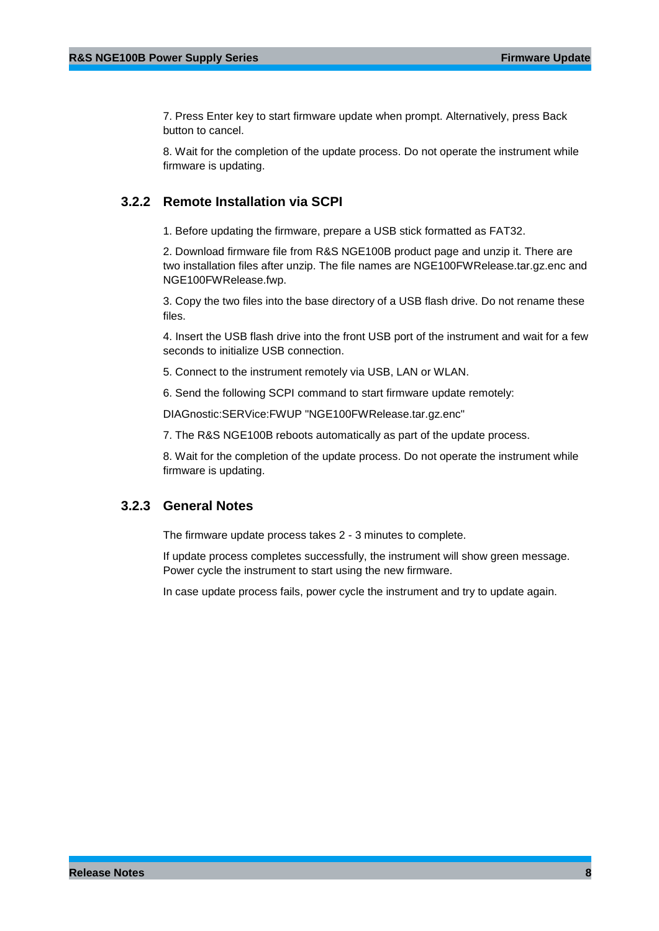7. Press Enter key to start firmware update when prompt. Alternatively, press Back button to cancel.

<span id="page-7-0"></span>8. Wait for the completion of the update process. Do not operate the instrument while firmware is updating.

### **3.2.2 Remote Installation via SCPI**

1. Before updating the firmware, prepare a USB stick formatted as FAT32.

2. Download firmware file from R&S NGE100B product page and unzip it. There are two installation files after unzip. The file names are NGE100FWRelease.tar.gz.enc and NGE100FWRelease.fwp.

3. Copy the two files into the base directory of a USB flash drive. Do not rename these files.

4. Insert the USB flash drive into the front USB port of the instrument and wait for a few seconds to initialize USB connection.

5. Connect to the instrument remotely via USB, LAN or WLAN.

6. Send the following SCPI command to start firmware update remotely:

DIAGnostic:SERVice:FWUP "NGE100FWRelease.tar.gz.enc"

7. The R&S NGE100B reboots automatically as part of the update process.

<span id="page-7-1"></span>8. Wait for the completion of the update process. Do not operate the instrument while firmware is updating.

### **3.2.3 General Notes**

The firmware update process takes 2 - 3 minutes to complete.

If update process completes successfully, the instrument will show green message. Power cycle the instrument to start using the new firmware.

In case update process fails, power cycle the instrument and try to update again.